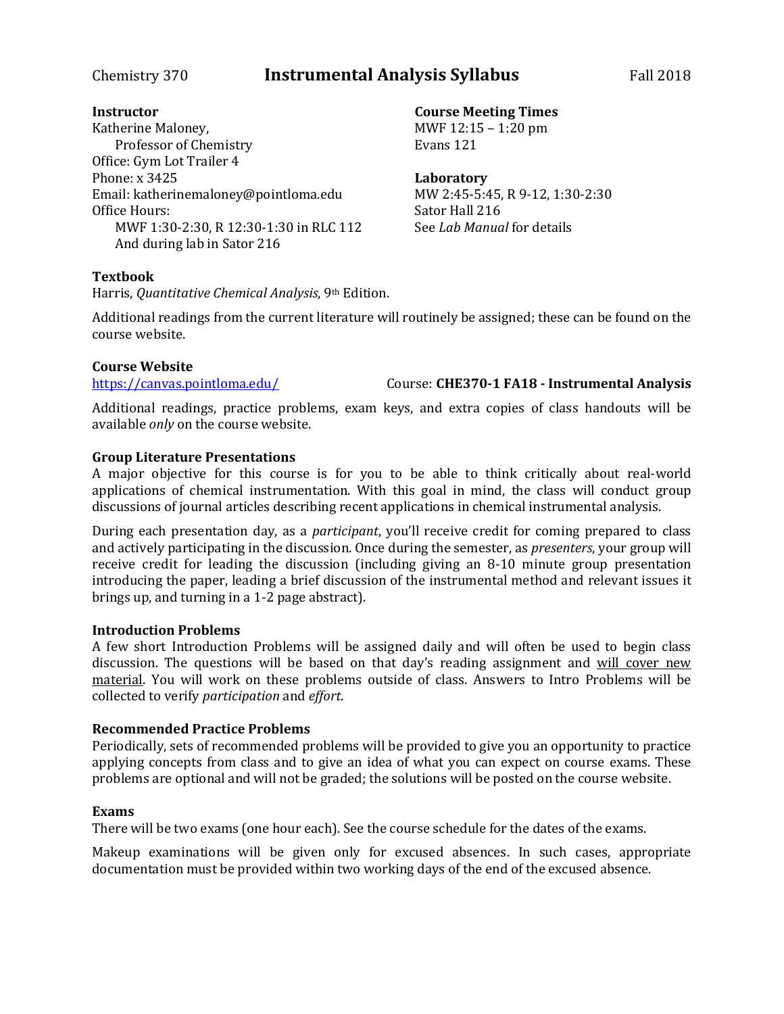## Chemistry 370 **Instrumental Analysis Syllabus** Fall 2018

### **Instructor**

Katherine Maloney, Professor of Chemistry Office: Gym Lot Trailer 4 Phone: x 3425 Email: katherinemaloney@pointloma.edu Office Hours: MWF 1:30-2:30, R 12:30-1:30 in RLC 112 And during lab in Sator 216

### **Textbook**

Harris, *Quantitative Chemical Analysis*, 9th Edition.

Additional readings from the current literature will routinely be assigned; these can be found on the course website.

### **Course Website**

<https://canvas.pointloma.edu/> Course: **CHE370-1 FA18 - Instrumental Analysis**

Additional readings, practice problems, exam keys, and extra copies of class handouts will be available *only* on the course website.

### **Group Literature Presentations**

A major objective for this course is for you to be able to think critically about real-world applications of chemical instrumentation. With this goal in mind, the class will conduct group discussions of journal articles describing recent applications in chemical instrumental analysis.

During each presentation day, as a *participant*, you'll receive credit for coming prepared to class and actively participating in the discussion. Once during the semester, as *presenters*, your group will receive credit for leading the discussion (including giving an 8-10 minute group presentation introducing the paper, leading a brief discussion of the instrumental method and relevant issues it brings up, and turning in a 1-2 page abstract).

### **Introduction Problems**

A few short Introduction Problems will be assigned daily and will often be used to begin class discussion. The questions will be based on that day's reading assignment and will cover new material. You will work on these problems outside of class. Answers to Intro Problems will be collected to verify *participation* and *effort*.

### **Recommended Practice Problems**

Periodically, sets of recommended problems will be provided to give you an opportunity to practice applying concepts from class and to give an idea of what you can expect on course exams. These problems are optional and will not be graded; the solutions will be posted on the course website.

### **Exams**

There will be two exams (one hour each). See the course schedule for the dates of the exams.

Makeup examinations will be given only for excused absences. In such cases, appropriate documentation must be provided within two working days of the end of the excused absence.

**Course Meeting Times** MWF 12:15 – 1:20 pm

Evans 121

**Laboratory**

MW 2:45-5:45, R 9-12, 1:30-2:30 Sator Hall 216 See *Lab Manual* for details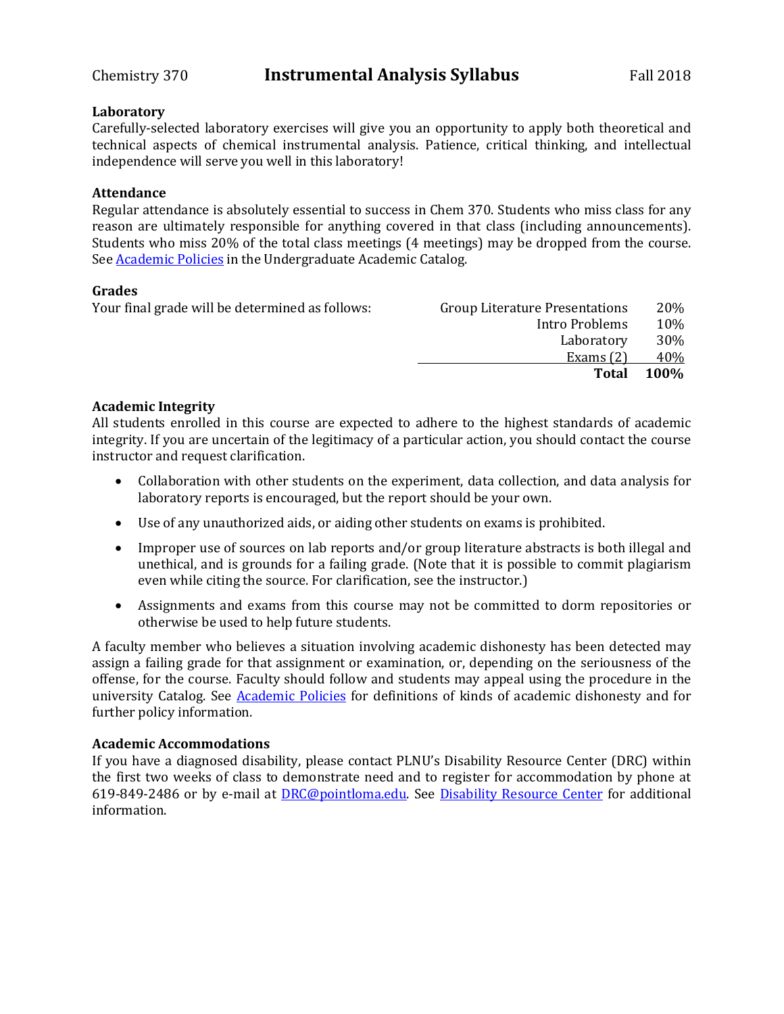### **Laboratory**

Carefully-selected laboratory exercises will give you an opportunity to apply both theoretical and technical aspects of chemical instrumental analysis. Patience, critical thinking, and intellectual independence will serve you well in this laboratory!

### **Attendance**

Regular attendance is absolutely essential to success in Chem 370. Students who miss class for any reason are ultimately responsible for anything covered in that class (including announcements). Students who miss 20% of the total class meetings (4 meetings) may be dropped from the course. See **Academic Policies** in the Undergraduate Academic Catalog.

### **Grades**

| Group Literature Presentations | 20%  |
|--------------------------------|------|
| Intro Problems                 | 10%  |
| Laboratory                     | 30%  |
| Exams $(2)$                    | 40%  |
| <b>Total</b>                   | 100% |
|                                |      |

### **Academic Integrity**

All students enrolled in this course are expected to adhere to the highest standards of academic integrity. If you are uncertain of the legitimacy of a particular action, you should contact the course instructor and request clarification.

- Collaboration with other students on the experiment, data collection, and data analysis for laboratory reports is encouraged, but the report should be your own.
- Use of any unauthorized aids, or aiding other students on exams is prohibited.
- Improper use of sources on lab reports and/or group literature abstracts is both illegal and unethical, and is grounds for a failing grade. (Note that it is possible to commit plagiarism even while citing the source. For clarification, see the instructor.)
- Assignments and exams from this course may not be committed to dorm repositories or otherwise be used to help future students.

A faculty member who believes a situation involving academic dishonesty has been detected may assign a failing grade for that assignment or examination, or, depending on the seriousness of the offense, for the course. Faculty should follow and students may appeal using the procedure in the university Catalog. See [Academic Policies](http://catalog.pointloma.edu/content.php?catoid=18&navoid=1278) for definitions of kinds of academic dishonesty and for further policy information.

### **Academic Accommodations**

If you have a diagnosed disability, please contact PLNU's Disability Resource Center (DRC) within the first two weeks of class to demonstrate need and to register for accommodation by phone at 619-849-2486 or by e-mail at [DRC@pointloma.edu.](mailto:DRC@pointloma.edu) See [Disability Resource Center](http://www.pointloma.edu/experience/offices/administrative-offices/academic-advising-office/disability-resource-center) for additional information.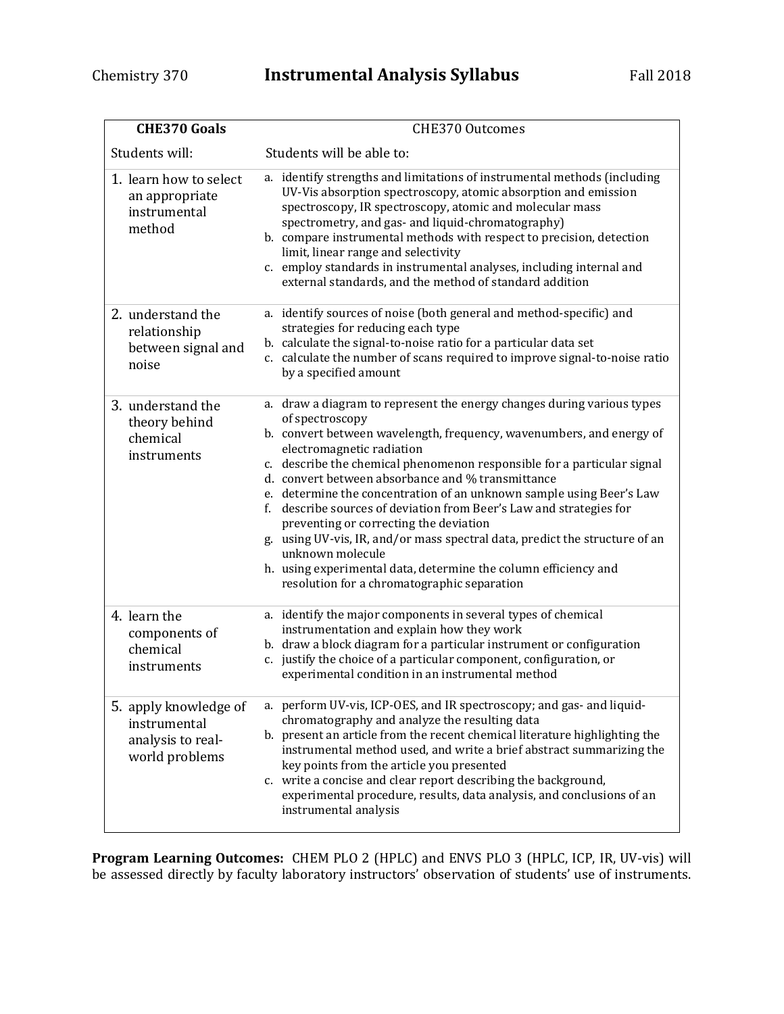| <b>CHE370 Goals</b>                                                          | <b>CHE370 Outcomes</b>                                                                                                                                                                                                                                                                                                                                                                                                                                                                                                                                                                                                                                                                                                                       |
|------------------------------------------------------------------------------|----------------------------------------------------------------------------------------------------------------------------------------------------------------------------------------------------------------------------------------------------------------------------------------------------------------------------------------------------------------------------------------------------------------------------------------------------------------------------------------------------------------------------------------------------------------------------------------------------------------------------------------------------------------------------------------------------------------------------------------------|
| Students will:                                                               | Students will be able to:                                                                                                                                                                                                                                                                                                                                                                                                                                                                                                                                                                                                                                                                                                                    |
| 1. learn how to select<br>an appropriate<br>instrumental<br>method           | a. identify strengths and limitations of instrumental methods (including<br>UV-Vis absorption spectroscopy, atomic absorption and emission<br>spectroscopy, IR spectroscopy, atomic and molecular mass<br>spectrometry, and gas- and liquid-chromatography)<br>b. compare instrumental methods with respect to precision, detection<br>limit, linear range and selectivity<br>c. employ standards in instrumental analyses, including internal and<br>external standards, and the method of standard addition                                                                                                                                                                                                                                |
| 2. understand the<br>relationship<br>between signal and<br>noise             | a. identify sources of noise (both general and method-specific) and<br>strategies for reducing each type<br>b. calculate the signal-to-noise ratio for a particular data set<br>c. calculate the number of scans required to improve signal-to-noise ratio<br>by a specified amount                                                                                                                                                                                                                                                                                                                                                                                                                                                          |
| 3. understand the<br>theory behind<br>chemical<br>instruments                | a. draw a diagram to represent the energy changes during various types<br>of spectroscopy<br>b. convert between wavelength, frequency, wavenumbers, and energy of<br>electromagnetic radiation<br>c. describe the chemical phenomenon responsible for a particular signal<br>d. convert between absorbance and % transmittance<br>e. determine the concentration of an unknown sample using Beer's Law<br>f. describe sources of deviation from Beer's Law and strategies for<br>preventing or correcting the deviation<br>g. using UV-vis, IR, and/or mass spectral data, predict the structure of an<br>unknown molecule<br>h. using experimental data, determine the column efficiency and<br>resolution for a chromatographic separation |
| 4. learn the<br>components of<br>chemical<br>instruments                     | a. identify the major components in several types of chemical<br>instrumentation and explain how they work<br>b. draw a block diagram for a particular instrument or configuration<br>c. justify the choice of a particular component, configuration, or<br>experimental condition in an instrumental method                                                                                                                                                                                                                                                                                                                                                                                                                                 |
| 5. apply knowledge of<br>instrumental<br>analysis to real-<br>world problems | a. perform UV-vis, ICP-OES, and IR spectroscopy; and gas- and liquid-<br>chromatography and analyze the resulting data<br>b. present an article from the recent chemical literature highlighting the<br>instrumental method used, and write a brief abstract summarizing the<br>key points from the article you presented<br>c. write a concise and clear report describing the background,<br>experimental procedure, results, data analysis, and conclusions of an<br>instrumental analysis                                                                                                                                                                                                                                                |

**Program Learning Outcomes:** CHEM PLO 2 (HPLC) and ENVS PLO 3 (HPLC, ICP, IR, UV-vis) will be assessed directly by faculty laboratory instructors' observation of students' use of instruments.